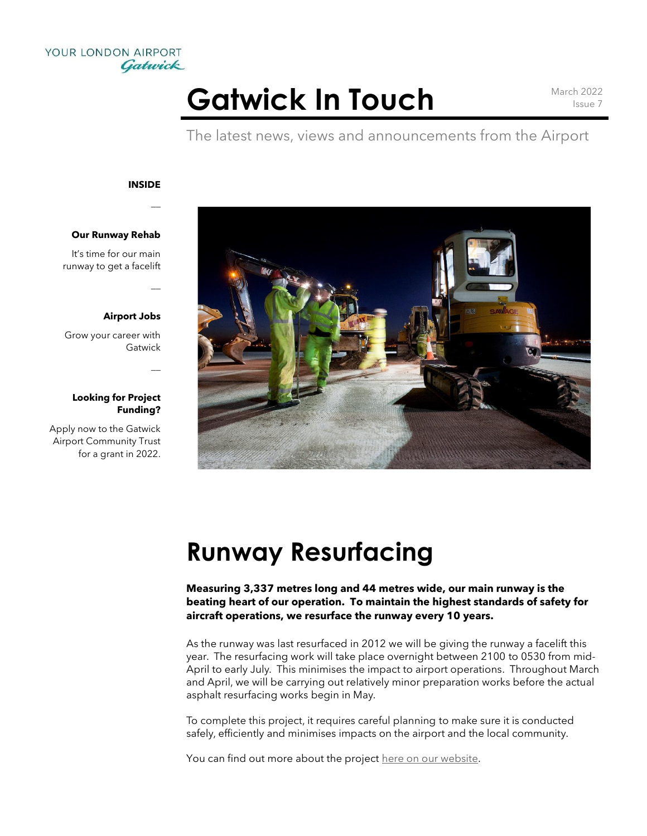

# Gatwick In Touch March 2022

Issue 7

The latest news, views and announcements from the Airport

#### **INSIDE**

 $\overline{a}$ 

 $\overline{a}$ 

 $\overline{a}$ 

#### **Our Runway Rehab**

It's time for our main runway to get a facelift

#### **Airport Jobs**

Grow your career with Gatwick

#### **Looking for Project Funding?**

Apply now to the Gatwick Airport Community Trust for a grant in 2022.



### **Runway Resurfacing**

**Measuring 3,337 metres long and 44 metres wide, our main runway is the beating heart of our operation. To maintain the highest standards of safety for aircraft operations, we resurface the runway every 10 years.**

As the runway was last resurfaced in 2012 we will be giving the runway a facelift this year. The resurfacing work will take place overnight between 2100 to 0530 from mid-April to early July. This minimises the impact to airport operations. Throughout March and April, we will be carrying out relatively minor preparation works before the actual asphalt resurfacing works begin in May.

To complete this project, it requires careful planning to make sure it is conducted safely, efficiently and minimises impacts on the airport and the local community.

You can find out more about the project [here on our website.](https://www.gatwickairport.com/business-community/future-plans/projects/main-runway/)